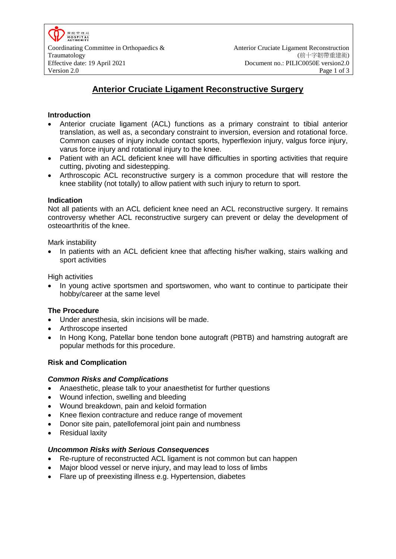零除管理局 **HOSPITAL**<br>AUTHORITY Coordinating Committee in Orthopaedics & Traumatology Effective date: 19 April 2021 Document no.: PILIC0050E version2.0 Version 2.0 Page 1 of 3

# **Anterior Cruciate Ligament Reconstructive Surgery**

# **Introduction**

- Anterior cruciate ligament (ACL) functions as a primary constraint to tibial anterior translation, as well as, a secondary constraint to inversion, eversion and rotational force. Common causes of injury include contact sports, hyperflexion injury, valgus force injury, varus force injury and rotational injury to the knee.
- Patient with an ACL deficient knee will have difficulties in sporting activities that require cutting, pivoting and sidestepping.
- Arthroscopic ACL reconstructive surgery is a common procedure that will restore the knee stability (not totally) to allow patient with such injury to return to sport.

## **Indication**

Not all patients with an ACL deficient knee need an ACL reconstructive surgery. It remains controversy whether ACL reconstructive surgery can prevent or delay the development of osteoarthritis of the knee.

Mark instability

 In patients with an ACL deficient knee that affecting his/her walking, stairs walking and sport activities

High activities

 In young active sportsmen and sportswomen, who want to continue to participate their hobby/career at the same level

## **The Procedure**

- Under anesthesia, skin incisions will be made.
- Arthroscope inserted
- In Hong Kong, Patellar bone tendon bone autograft (PBTB) and hamstring autograft are popular methods for this procedure.

## **Risk and Complication**

## *Common Risks and Complications*

- Anaesthetic, please talk to your anaesthetist for further questions
- Wound infection, swelling and bleeding
- Wound breakdown, pain and keloid formation
- Knee flexion contracture and reduce range of movement
- Donor site pain, patellofemoral joint pain and numbness
- Residual laxity

#### *Uncommon Risks with Serious Consequences*

- Re-rupture of reconstructed ACL ligament is not common but can happen
- Major blood vessel or nerve injury, and may lead to loss of limbs
- Flare up of preexisting illness e.g. Hypertension, diabetes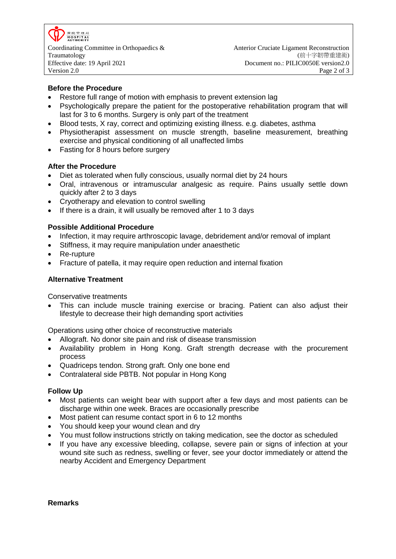零除管理局 **HOSPITAL**<br>AUTHORITY Coordinating Committee in Orthopaedics & Traumatology Effective date: 19 April 2021 Document no.: PILIC0050E version2.0

# **Before the Procedure**

- Restore full range of motion with emphasis to prevent extension lag
- Psychologically prepare the patient for the postoperative rehabilitation program that will last for 3 to 6 months. Surgery is only part of the treatment
- Blood tests, X ray, correct and optimizing existing illness. e.g. diabetes, asthma
- Physiotherapist assessment on muscle strength, baseline measurement, breathing exercise and physical conditioning of all unaffected limbs
- Fasting for 8 hours before surgery

## **After the Procedure**

- Diet as tolerated when fully conscious, usually normal diet by 24 hours
- Oral, intravenous or intramuscular analgesic as require. Pains usually settle down quickly after 2 to 3 days
- Cryotherapy and elevation to control swelling
- If there is a drain, it will usually be removed after 1 to 3 days

## **Possible Additional Procedure**

- Infection, it may require arthroscopic lavage, debridement and/or removal of implant
- Stiffness, it may require manipulation under anaesthetic
- Re-rupture
- Fracture of patella, it may require open reduction and internal fixation

## **Alternative Treatment**

Conservative treatments

 This can include muscle training exercise or bracing. Patient can also adjust their lifestyle to decrease their high demanding sport activities

Operations using other choice of reconstructive materials

- Allograft. No donor site pain and risk of disease transmission
- Availability problem in Hong Kong. Graft strength decrease with the procurement process
- Quadriceps tendon. Strong graft. Only one bone end
- Contralateral side PBTB. Not popular in Hong Kong

## **Follow Up**

- Most patients can weight bear with support after a few days and most patients can be discharge within one week. Braces are occasionally prescribe
- Most patient can resume contact sport in 6 to 12 months
- You should keep your wound clean and dry
- You must follow instructions strictly on taking medication, see the doctor as scheduled
- If you have any excessive bleeding, collapse, severe pain or signs of infection at your wound site such as redness, swelling or fever, see your doctor immediately or attend the nearby Accident and Emergency Department

**Remarks**